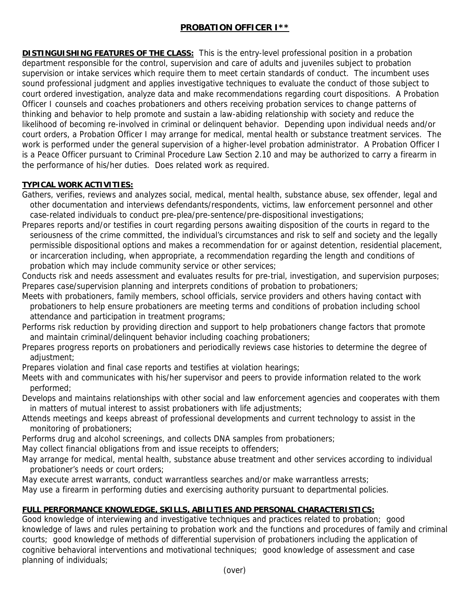# **PROBATION OFFICER I\*\***

**DISTINGUISHING FEATURES OF THE CLASS:** This is the entry-level professional position in a probation department responsible for the control, supervision and care of adults and juveniles subject to probation supervision or intake services which require them to meet certain standards of conduct. The incumbent uses sound professional judgment and applies investigative techniques to evaluate the conduct of those subject to court ordered investigation, analyze data and make recommendations regarding court dispositions. A Probation Officer I counsels and coaches probationers and others receiving probation services to change patterns of thinking and behavior to help promote and sustain a law-abiding relationship with society and reduce the likelihood of becoming re-involved in criminal or delinquent behavior. Depending upon individual needs and/or court orders, a Probation Officer I may arrange for medical, mental health or substance treatment services. The work is performed under the general supervision of a higher-level probation administrator. A Probation Officer I is a Peace Officer pursuant to Criminal Procedure Law Section 2.10 and may be authorized to carry a firearm in the performance of his/her duties. Does related work as required.

## **TYPICAL WORK ACTIVITIES:**

- Gathers, verifies, reviews and analyzes social, medical, mental health, substance abuse, sex offender, legal and other documentation and interviews defendants/respondents, victims, law enforcement personnel and other case-related individuals to conduct pre-plea/pre-sentence/pre-dispositional investigations;
- Prepares reports and/or testifies in court regarding persons awaiting disposition of the courts in regard to the seriousness of the crime committed, the individual's circumstances and risk to self and society and the legally permissible dispositional options and makes a recommendation for or against detention, residential placement, or incarceration including, when appropriate, a recommendation regarding the length and conditions of probation which may include community service or other services;
- Conducts risk and needs assessment and evaluates results for pre-trial, investigation, and supervision purposes; Prepares case/supervision planning and interprets conditions of probation to probationers;
- Meets with probationers, family members, school officials, service providers and others having contact with probationers to help ensure probationers are meeting terms and conditions of probation including school attendance and participation in treatment programs;
- Performs risk reduction by providing direction and support to help probationers change factors that promote and maintain criminal/delinquent behavior including coaching probationers;
- Prepares progress reports on probationers and periodically reviews case histories to determine the degree of adjustment;
- Prepares violation and final case reports and testifies at violation hearings;
- Meets with and communicates with his/her supervisor and peers to provide information related to the work performed;
- Develops and maintains relationships with other social and law enforcement agencies and cooperates with them in matters of mutual interest to assist probationers with life adjustments;
- Attends meetings and keeps abreast of professional developments and current technology to assist in the monitoring of probationers;
- Performs drug and alcohol screenings, and collects DNA samples from probationers;
- May collect financial obligations from and issue receipts to offenders;
- May arrange for medical, mental health, substance abuse treatment and other services according to individual probationer's needs or court orders;
- May execute arrest warrants, conduct warrantless searches and/or make warrantless arrests;
- May use a firearm in performing duties and exercising authority pursuant to departmental policies.

# **FULL PERFORMANCE KNOWLEDGE, SKILLS, ABILITIES AND PERSONAL CHARACTERISTICS:**

Good knowledge of interviewing and investigative techniques and practices related to probation; good knowledge of laws and rules pertaining to probation work and the functions and procedures of family and criminal courts; good knowledge of methods of differential supervision of probationers including the application of cognitive behavioral interventions and motivational techniques; good knowledge of assessment and case planning of individuals;